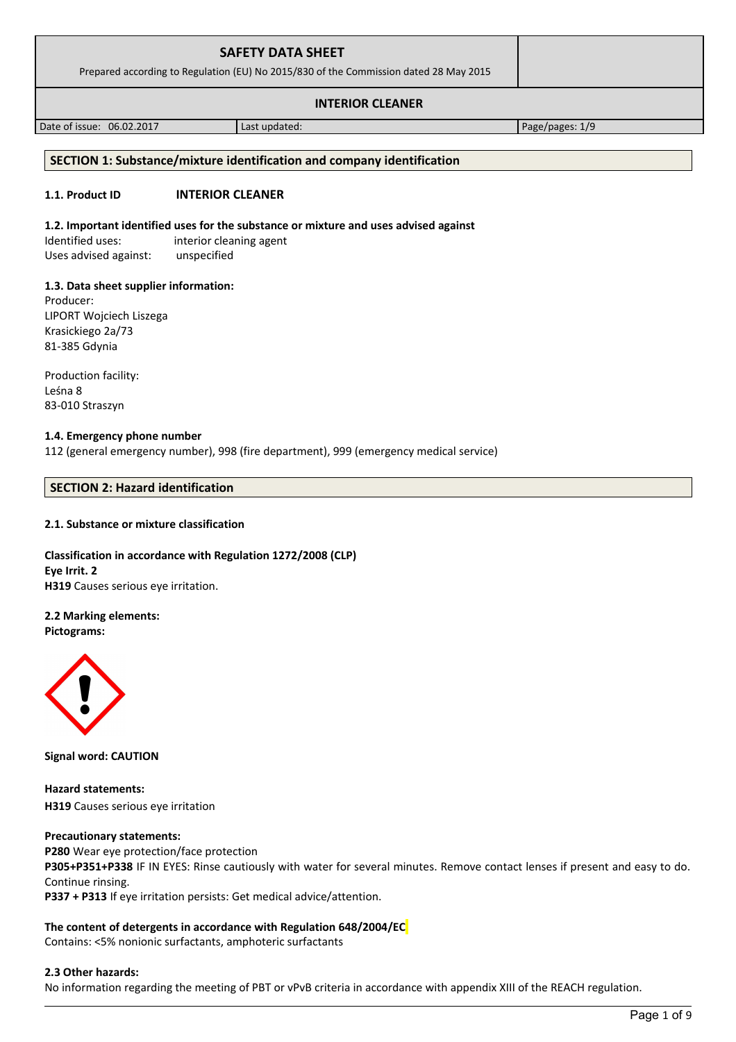| <b>SAFETY DATA SHEET</b><br>Prepared according to Regulation (EU) No 2015/830 of the Commission dated 28 May 2015 |  |  |
|-------------------------------------------------------------------------------------------------------------------|--|--|
| <b>INTERIOR CLEANER</b>                                                                                           |  |  |

Date of issue: 06.02.2017 **Last updated:** Page/pages: 1/9

# **SECTION 1: Substance/mixture identification and company identification**

# **1.1. Product ID INTERIOR CLEANER**

# **1.2. Important identified uses for the substance or mixture and uses advised against**

Identified uses: interior cleaning agent Uses advised against: unspecified

# **1.3. Data sheet supplier information:**

Producer: LIPORT Wojciech Liszega Krasickiego 2a/73 81-385 Gdynia

Production facility: Leśna 8 83-010 Straszyn

# **1.4. Emergency phone number**

112 (general emergency number), 998 (fire department), 999 (emergency medical service)

# **SECTION 2: Hazard identification**

# **2.1. Substance or mixture classification**

**Classification in accordance with Regulation 1272/2008 (CLP) Eye Irrit. 2 H319** Causes serious eye irritation.

# **2.2 Marking elements:**

**Pictograms:**



**Signal word: CAUTION**

**Hazard statements: H319** Causes serious eye irritation

# **Precautionary statements:**

**P280** Wear eye protection/face protection **P305+P351+P338** IF IN EYES: Rinse cautiously with water for several minutes. Remove contact lenses if present and easy to do. Continue rinsing. **P337 + P313** If eye irritation persists: Get medical advice/attention.

# **The content of detergents in accordance with Regulation 648/2004/EC**

Contains: <5% nonionic surfactants, amphoteric surfactants

# **2.3 Other hazards:**

No information regarding the meeting of PBT or vPvB criteria in accordance with appendix XIII of the REACH regulation.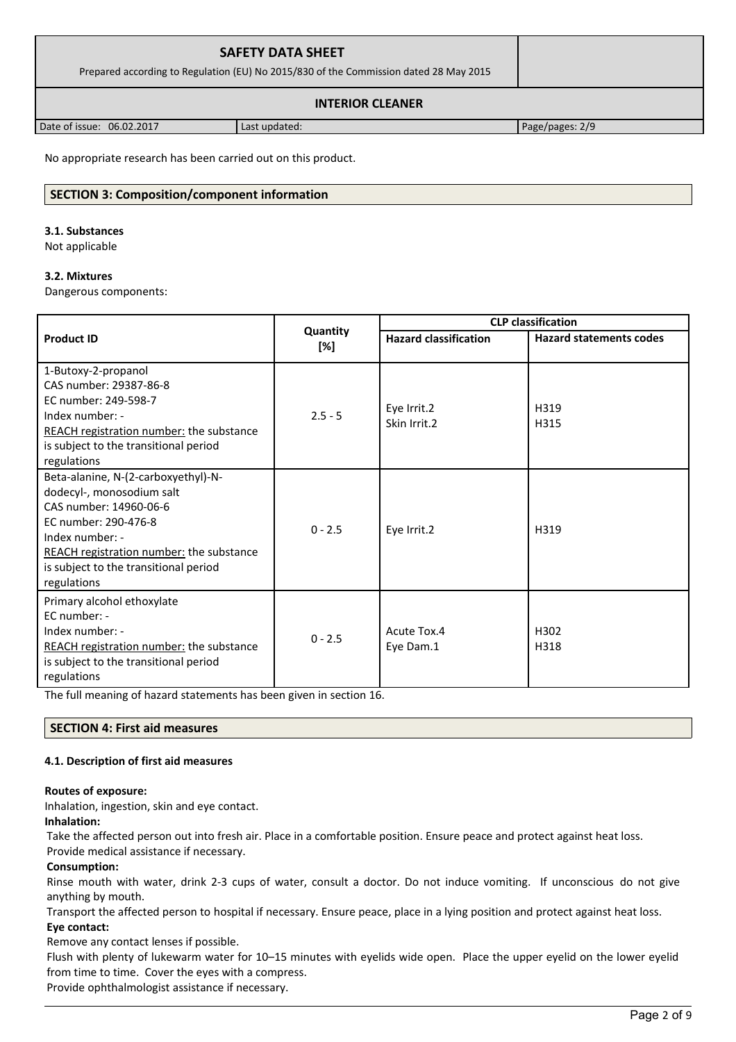| <b>SAFETY DATA SHEET</b><br>Prepared according to Regulation (EU) No 2015/830 of the Commission dated 28 May 2015 |  |
|-------------------------------------------------------------------------------------------------------------------|--|
| <b>INTERIOR CLEANER</b>                                                                                           |  |

Date of issue: 06.02.2017 ast updated: Page/pages: 2/9

No appropriate research has been carried out on this product.

# **SECTION 3: Composition/component information**

#### **3.1. Substances**

Not applicable

# **3.2. Mixtures**

Dangerous components:

|                                                                                                                                                                                                                                           |                 |                              | <b>CLP</b> classification      |  |
|-------------------------------------------------------------------------------------------------------------------------------------------------------------------------------------------------------------------------------------------|-----------------|------------------------------|--------------------------------|--|
| <b>Product ID</b>                                                                                                                                                                                                                         | Quantity<br>[%] | <b>Hazard classification</b> | <b>Hazard statements codes</b> |  |
| 1-Butoxy-2-propanol<br>CAS number: 29387-86-8<br>EC number: 249-598-7<br>Index number: -<br>REACH registration number: the substance<br>is subject to the transitional period<br>regulations                                              | $2.5 - 5$       | Eye Irrit.2<br>Skin Irrit.2  | H319<br>H315                   |  |
| Beta-alanine, N-(2-carboxyethyl)-N-<br>dodecyl-, monosodium salt<br>CAS number: 14960-06-6<br>EC number: 290-476-8<br>Index number: -<br>REACH registration number: the substance<br>is subject to the transitional period<br>regulations | $0 - 2.5$       | Eye Irrit.2                  | H319                           |  |
| Primary alcohol ethoxylate<br>EC number: -<br>Index number: -<br>REACH registration number: the substance<br>is subject to the transitional period<br>regulations                                                                         | $0 - 2.5$       | Acute Tox.4<br>Eye Dam.1     | H302<br>H318                   |  |

The full meaning of hazard statements has been given in section 16.

# **SECTION 4: First aid measures**

# **4.1. Description of first aid measures**

# **Routes of exposure:**

Inhalation, ingestion, skin and eye contact.

**Inhalation:**

Take the affected person out into fresh air. Place in a comfortable position. Ensure peace and protect against heat loss. Provide medical assistance if necessary.

# **Consumption:**

Rinse mouth with water, drink 2-3 cups of water, consult a doctor. Do not induce vomiting. If unconscious do not give anything by mouth.

Transport the affected person to hospital if necessary. Ensure peace, place in a lying position and protect against heat loss. **Eye contact:**

Remove any contact lenses if possible.

Flush with plenty of lukewarm water for 10–15 minutes with eyelids wide open. Place the upper eyelid on the lower eyelid from time to time. Cover the eyes with a compress.

Provide ophthalmologist assistance if necessary.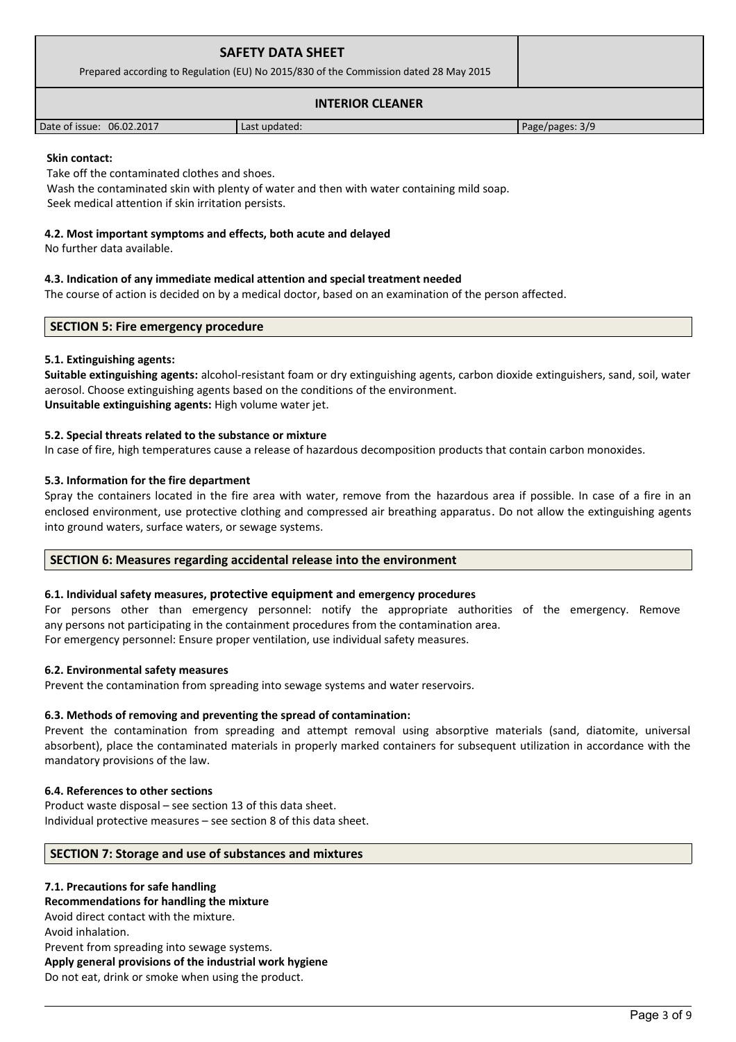| <b>SAFETY DATA SHEET</b><br>Prepared according to Regulation (EU) No 2015/830 of the Commission dated 28 May 2015 |               |                   |
|-------------------------------------------------------------------------------------------------------------------|---------------|-------------------|
|                                                                                                                   |               |                   |
| Date of issue: 06.02.2017                                                                                         | Last updated: | Page/pages: $3/9$ |

### **Skin contact:**

Take off the contaminated clothes and shoes.

Wash the contaminated skin with plenty of water and then with water containing mild soap.

Seek medical attention if skin irritation persists.

# **4.2. Most important symptoms and effects, both acute and delayed**

No further data available.

# **4.3. Indication of any immediate medical attention and special treatment needed**

The course of action is decided on by a medical doctor, based on an examination of the person affected.

# **SECTION 5: Fire emergency procedure**

# **5.1. Extinguishing agents:**

**Suitable extinguishing agents:** alcohol-resistant foam or dry extinguishing agents, carbon dioxide extinguishers, sand, soil, water aerosol. Choose extinguishing agents based on the conditions of the environment. **Unsuitable extinguishing agents:** High volume water jet.

# **5.2. Special threats related to the substance or mixture**

In case of fire, high temperatures cause a release of hazardous decomposition products that contain carbon monoxides.

# **5.3. Information for the fire department**

Spray the containers located in the fire area with water, remove from the hazardous area if possible. In case of a fire in an enclosed environment, use protective clothing and compressed air breathing apparatus. Do not allow the extinguishing agents into ground waters, surface waters, or sewage systems.

# **SECTION 6: Measures regarding accidental release into the environment**

# **6.1. Individual safety measures, protective equipment and emergency procedures**

For persons other than emergency personnel: notify the appropriate authorities of the emergency. Remove any persons not participating in the containment procedures from the contamination area. For emergency personnel: Ensure proper ventilation, use individual safety measures.

# **6.2. Environmental safety measures**

Prevent the contamination from spreading into sewage systems and water reservoirs.

# **6.3. Methods of removing and preventing the spread of contamination:**

Prevent the contamination from spreading and attempt removal using absorptive materials (sand, diatomite, universal absorbent), place the contaminated materials in properly marked containers for subsequent utilization in accordance with the mandatory provisions of the law.

# **6.4. References to other sections**

Product waste disposal – see section 13 of this data sheet. Individual protective measures – see section 8 of this data sheet.

# **SECTION 7: Storage and use of substances and mixtures**

# **7.1. Precautions for safe handling Recommendations for handling the mixture**  Avoid direct contact with the mixture. Avoid inhalation. Prevent from spreading into sewage systems. **Apply general provisions of the industrial work hygiene**  Do not eat, drink or smoke when using the product.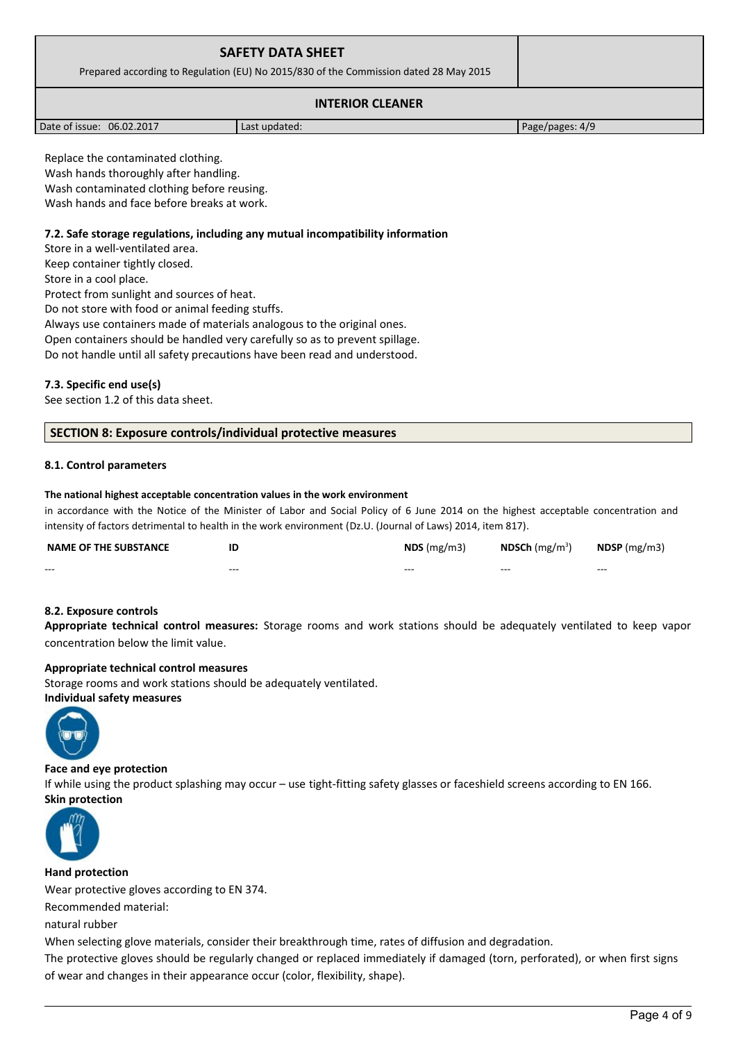| <b>SAFETY DATA SHEET</b><br>Prepared according to Regulation (EU) No 2015/830 of the Commission dated 28 May 2015 |  |
|-------------------------------------------------------------------------------------------------------------------|--|
| <b>INTERIOR CLEANER</b>                                                                                           |  |

Date of issue: 06.02.2017 and a last updated: Page/pages: 4/9

Replace the contaminated clothing. Wash hands thoroughly after handling. Wash contaminated clothing before reusing. Wash hands and face before breaks at work.

# **7.2. Safe storage regulations, including any mutual incompatibility information**

Store in a well-ventilated area. Keep container tightly closed. Store in a cool place. Protect from sunlight and sources of heat. Do not store with food or animal feeding stuffs. Always use containers made of materials analogous to the original ones. Open containers should be handled very carefully so as to prevent spillage.

Do not handle until all safety precautions have been read and understood.

# **7.3. Specific end use(s)**

See section 1.2 of this data sheet.

# **SECTION 8: Exposure controls/individual protective measures**

# **8.1. Control parameters**

### **The national highest acceptable concentration values in the work environment**

in accordance with the Notice of the Minister of Labor and Social Policy of 6 June 2014 on the highest acceptable concentration and intensity of factors detrimental to health in the work environment (Dz.U. (Journal of Laws) 2014, item 817).

| <b>NAME OF THE SUBSTANCE</b> | ΙE  | $NDS$ (mg/m3) | <b>NDSCh</b> (mg/m <sup>3</sup> ) | $N$ DSP (mg/m3) |
|------------------------------|-----|---------------|-----------------------------------|-----------------|
| $- - -$                      | --- | ---           | $- - -$                           | $- - -$         |
|                              |     |               |                                   |                 |

# **8.2. Exposure controls**

**Appropriate technical control measures:** Storage rooms and work stations should be adequately ventilated to keep vapor concentration below the limit value.

# **Appropriate technical control measures**

Storage rooms and work stations should be adequately ventilated. **Individual safety measures** 



# **Face and eye protection**

If while using the product splashing may occur – use tight-fitting safety glasses or faceshield screens according to EN 166. **Skin protection** 



**Hand protection**

Wear protective gloves according to EN 374.

Recommended material:

natural rubber

When selecting glove materials, consider their breakthrough time, rates of diffusion and degradation.

The protective gloves should be regularly changed or replaced immediately if damaged (torn, perforated), or when first signs of wear and changes in their appearance occur (color, flexibility, shape).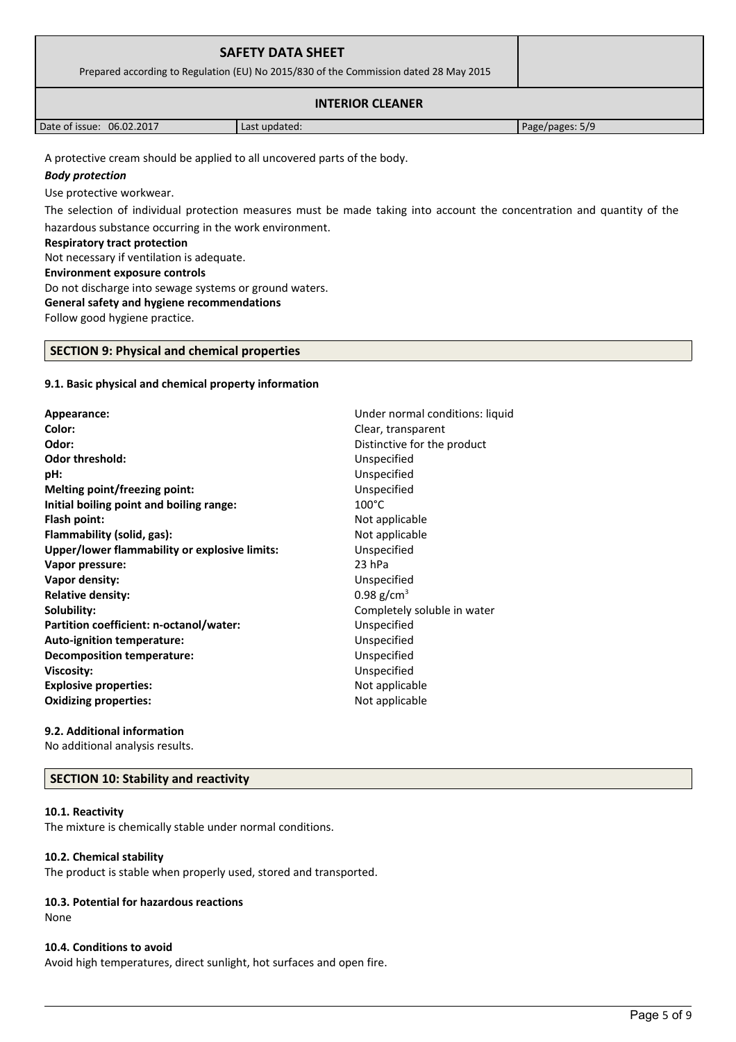| <b>SAFETY DATA SHEET</b><br>Prepared according to Regulation (EU) No 2015/830 of the Commission dated 28 May 2015 |                 |  |  |
|-------------------------------------------------------------------------------------------------------------------|-----------------|--|--|
|                                                                                                                   |                 |  |  |
| Date of issue: 06.02.2017                                                                                         | Page/pages: 5/9 |  |  |
| A protective cream should be applied to all uncovered parts of the body.<br>____                                  |                 |  |  |

### *Body protection*

Use protective workwear.

The selection of individual protection measures must be made taking into account the concentration and quantity of the hazardous substance occurring in the work environment.

### **Respiratory tract protection**

Not necessary if ventilation is adequate.

#### **Environment exposure controls**

Do not discharge into sewage systems or ground waters.

### **General safety and hygiene recommendations**

Follow good hygiene practice.

# **SECTION 9: Physical and chemical properties**

# **9.1. Basic physical and chemical property information**

**Appearance:** Under normal conditions: liquid **Color:** Clear, transparent **Odor:** Distinctive for the product **Odor threshold:** Unspecified **pH:** Unspecified **Melting point/freezing point:** Unspecified **Initial boiling point and boiling range:** 100°C **Flash point:** Not applicable **Flammability (solid, gas):** Not applicable **Upper/lower flammability or explosive limits:** Unspecified **Vapor pressure:** 23 hPa **Vapor density:** Unspecified **Relative density:** 0.98 g/cm<sup>3</sup> **Solubility:** Completely soluble in water **Partition coefficient: n-octanol/water:** Unspecified **Auto-ignition temperature:** Unspecified **Decomposition temperature:** Unspecified **Viscosity:** Unspecified **Explosive properties:**  $\blacksquare$  Not applicable **Oxidizing properties:** Not applicable

**9.2. Additional information** No additional analysis results.

# **SECTION 10: Stability and reactivity**

# **10.1. Reactivity**

The mixture is chemically stable under normal conditions.

# **10.2. Chemical stability**

The product is stable when properly used, stored and transported.

# **10.3. Potential for hazardous reactions**

None

# **10.4. Conditions to avoid**

Avoid high temperatures, direct sunlight, hot surfaces and open fire.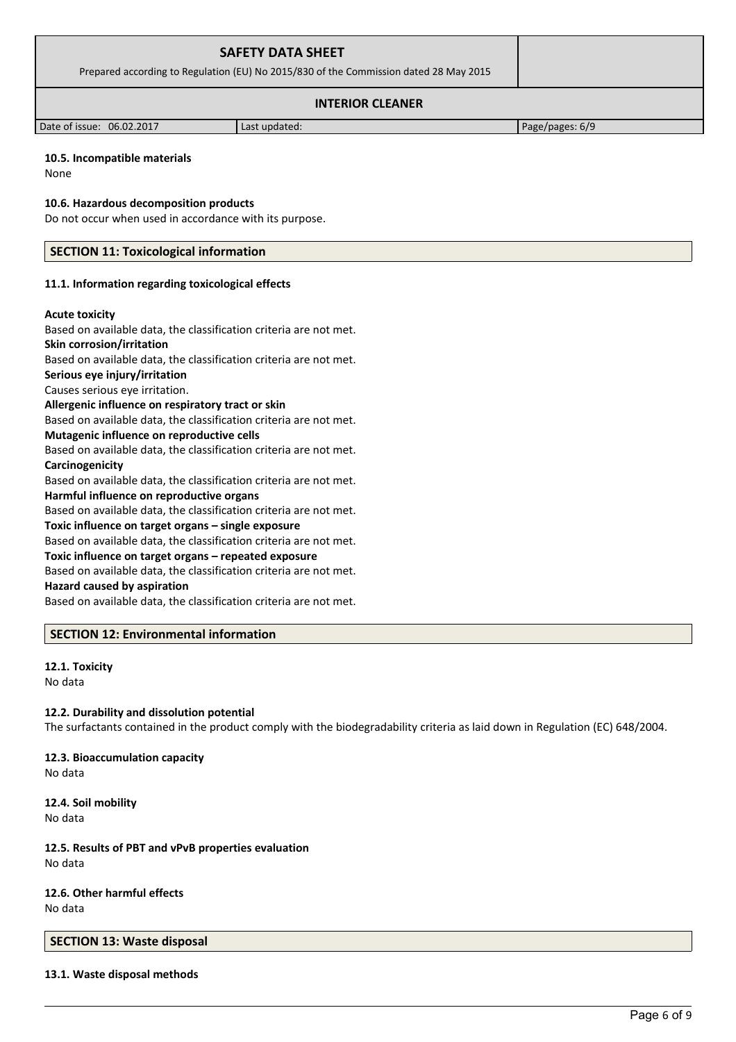| <b>SAFETY DATA SHEET</b><br>Prepared according to Regulation (EU) No 2015/830 of the Commission dated 28 May 2015 |                 |  |
|-------------------------------------------------------------------------------------------------------------------|-----------------|--|
|                                                                                                                   |                 |  |
| Date of issue: 06.02.2017                                                                                         | Page/pages: 6/9 |  |

### **10.5. Incompatible materials**

None

#### **10.6. Hazardous decomposition products**

Do not occur when used in accordance with its purpose.

### **SECTION 11: Toxicological information**

#### **11.1. Information regarding toxicological effects**

#### **Acute toxicity**

Based on available data, the classification criteria are not met.

# **Skin corrosion/irritation**

Based on available data, the classification criteria are not met.

# **Serious eye injury/irritation**

Causes serious eye irritation.

# **Allergenic influence on respiratory tract or skin**

Based on available data, the classification criteria are not met.

### **Mutagenic influence on reproductive cells**

Based on available data, the classification criteria are not met. **Carcinogenicity**

Based on available data, the classification criteria are not met.

#### **Harmful influence on reproductive organs**

Based on available data, the classification criteria are not met.

#### **Toxic influence on target organs – single exposure**

Based on available data, the classification criteria are not met.

#### **Toxic influence on target organs – repeated exposure**

Based on available data, the classification criteria are not met.

# **Hazard caused by aspiration**

Based on available data, the classification criteria are not met.

# **SECTION 12: Environmental information**

#### **12.1. Toxicity** No data

# **12.2. Durability and dissolution potential**

The surfactants contained in the product comply with the biodegradability criteria as laid down in Regulation (EC) 648/2004.

#### **12.3. Bioaccumulation capacity** No data

**12.4. Soil mobility** No data

# **12.5. Results of PBT and vPvB properties evaluation** No data

**12.6. Other harmful effects** No data

# **SECTION 13: Waste disposal**

**13.1. Waste disposal methods**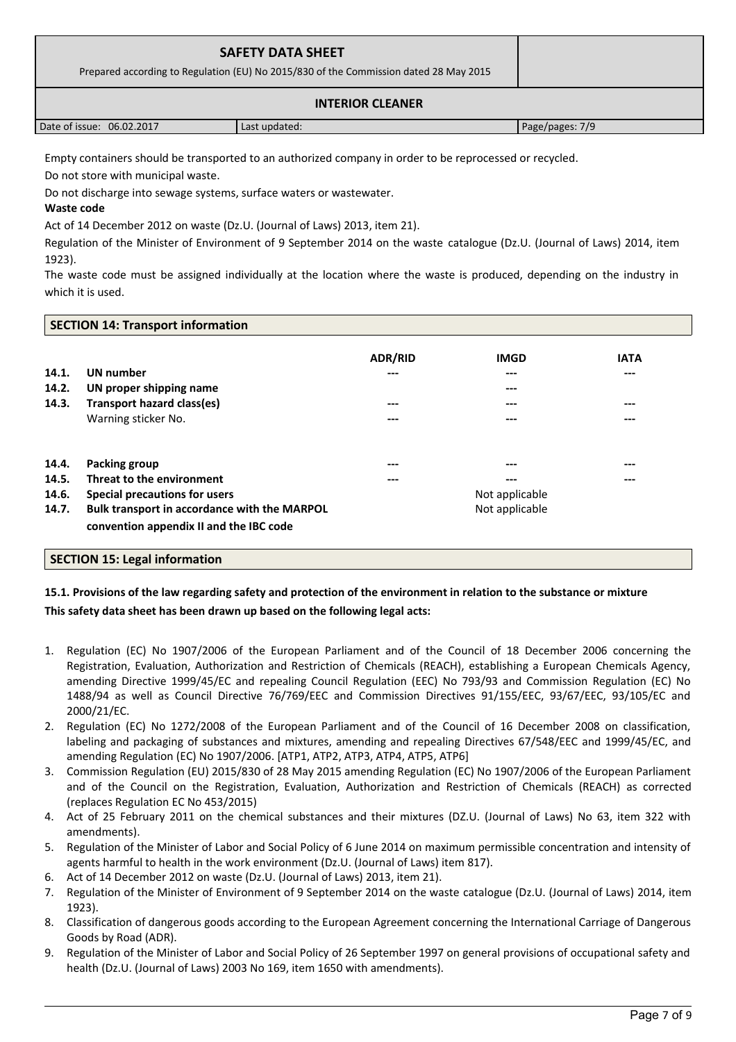| <b>SAFETY DATA SHEET</b><br>Prepared according to Regulation (EU) No 2015/830 of the Commission dated 28 May 2015 |               |                 |
|-------------------------------------------------------------------------------------------------------------------|---------------|-----------------|
|                                                                                                                   |               |                 |
| Date of issue: 06.02.2017                                                                                         | Last updated: | Page/pages: 7/9 |

Empty containers should be transported to an authorized company in order to be reprocessed or recycled.

Do not store with municipal waste.

Do not discharge into sewage systems, surface waters or wastewater.

**Waste code**

Act of 14 December 2012 on waste (Dz.U. (Journal of Laws) 2013, item 21).

Regulation of the Minister of Environment of 9 September 2014 on the waste catalogue (Dz.U. (Journal of Laws) 2014, item 1923).

The waste code must be assigned individually at the location where the waste is produced, depending on the industry in which it is used.

# **SECTION 14: Transport information**

|       |                                              | <b>ADR/RID</b> | <b>IMGD</b>    | <b>IATA</b> |
|-------|----------------------------------------------|----------------|----------------|-------------|
| 14.1. | <b>UN</b> number                             | ---            | $---$          | ---         |
| 14.2. | UN proper shipping name                      |                | $---$          |             |
| 14.3. | <b>Transport hazard class(es)</b>            | ---            | ---            | ---         |
|       | Warning sticker No.                          | ---            | ---            | ---         |
|       |                                              |                |                |             |
| 14.4. | <b>Packing group</b>                         | ---            | $---$          | ---         |
| 14.5. | Threat to the environment                    | ---            | $---$          | ---         |
| 14.6. | Special precautions for users                |                | Not applicable |             |
| 14.7. | Bulk transport in accordance with the MARPOL |                | Not applicable |             |
|       | convention appendix II and the IBC code      |                |                |             |

# **SECTION 15: Legal information**

# **15.1. Provisions of the law regarding safety and protection of the environment in relation to the substance or mixture This safety data sheet has been drawn up based on the following legal acts:**

- 1. Regulation (EC) No 1907/2006 of the European Parliament and of the Council of 18 December 2006 concerning the Registration, Evaluation, Authorization and Restriction of Chemicals (REACH), establishing a European Chemicals Agency, amending Directive 1999/45/EC and repealing Council Regulation (EEC) No 793/93 and Commission Regulation (EC) No 1488/94 as well as Council Directive 76/769/EEC and Commission Directives 91/155/EEC, 93/67/EEC, 93/105/EC and 2000/21/EC.
- 2. Regulation (EC) No 1272/2008 of the European Parliament and of the Council of 16 December 2008 on classification, labeling and packaging of substances and mixtures, amending and repealing Directives 67/548/EEC and 1999/45/EC, and amending Regulation (EC) No 1907/2006. [ATP1, ATP2, ATP3, ATP4, ATP5, ATP6]
- 3. Commission Regulation (EU) 2015/830 of 28 May 2015 amending Regulation (EC) No 1907/2006 of the European Parliament and of the Council on the Registration, Evaluation, Authorization and Restriction of Chemicals (REACH) as corrected (replaces Regulation EC No 453/2015)
- 4. Act of 25 February 2011 on the chemical substances and their mixtures (DZ.U. (Journal of Laws) No 63, item 322 with amendments).
- 5. Regulation of the Minister of Labor and Social Policy of 6 June 2014 on maximum permissible concentration and intensity of agents harmful to health in the work environment (Dz.U. (Journal of Laws) item 817).
- 6. Act of 14 December 2012 on waste (Dz.U. (Journal of Laws) 2013, item 21).
- 7. Regulation of the Minister of Environment of 9 September 2014 on the waste catalogue (Dz.U. (Journal of Laws) 2014, item 1923).
- 8. Classification of dangerous goods according to the European Agreement concerning the International Carriage of Dangerous Goods by Road (ADR).
- 9. Regulation of the Minister of Labor and Social Policy of 26 September 1997 on general provisions of occupational safety and health (Dz.U. (Journal of Laws) 2003 No 169, item 1650 with amendments).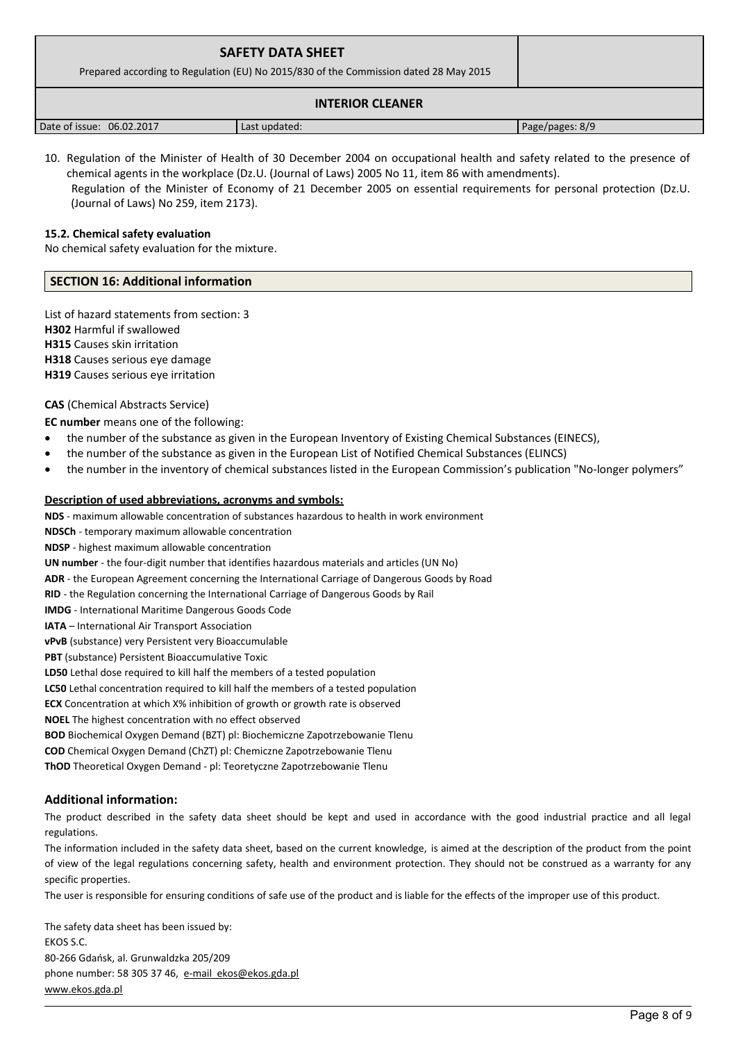| <b>SAFETY DATA SHEET</b><br>Prepared according to Regulation (EU) No 2015/830 of the Commission dated 28 May 2015 |               |                 |
|-------------------------------------------------------------------------------------------------------------------|---------------|-----------------|
|                                                                                                                   |               |                 |
| Date of issue: 06.02.2017                                                                                         | Last updated: | Page/pages: 8/9 |

10. Regulation of the Minister of Health of 30 December 2004 on occupational health and safety related to the presence of chemical agents in the workplace (Dz.U. (Journal of Laws) 2005 No 11, item 86 with amendments).

 Regulation of the Minister of Economy of 21 December 2005 on essential requirements for personal protection (Dz.U. (Journal of Laws) No 259, item 2173).

# **15.2. Chemical safety evaluation**

No chemical safety evaluation for the mixture.

### **SECTION 16: Additional information**

List of hazard statements from section: 3 **H302** Harmful if swallowed **H315** Causes skin irritation **H318** Causes serious eye damage **H319** Causes serious eye irritation

**CAS** (Chemical Abstracts Service)

**EC number** means one of the following:

- the number of the substance as given in the European Inventory of Existing Chemical Substances (EINECS),
- the number of the substance as given in the European List of Notified Chemical Substances (ELINCS)
- the number in the inventory of chemical substances listed in the European Commission's publication "No-longer polymers"

### **Description of used abbreviations, acronyms and symbols:**

**NDS** - maximum allowable concentration of substances hazardous to health in work environment

**NDSCh** - temporary maximum allowable concentration

**NDSP** - highest maximum allowable concentration

**UN number** - the four-digit number that identifies hazardous materials and articles (UN No)

**ADR** - the European Agreement concerning the International Carriage of Dangerous Goods by Road

**RID** - the Regulation concerning the International Carriage of Dangerous Goods by Rail

**IMDG** - International Maritime Dangerous Goods Code

**IATA** – International Air Transport Association

**vPvB** (substance) very Persistent very Bioaccumulable

**PBT** (substance) Persistent Bioaccumulative Toxic

**LD50** Lethal dose required to kill half the members of a tested population

**LC50** Lethal concentration required to kill half the members of a tested population

**ECX** Concentration at which X% inhibition of growth or growth rate is observed

**NOEL** The highest concentration with no effect observed

**BOD** Biochemical Oxygen Demand (BZT) pl: Biochemiczne Zapotrzebowanie Tlenu

**COD** Chemical Oxygen Demand (ChZT) pl: Chemiczne Zapotrzebowanie Tlenu

**ThOD** Theoretical Oxygen Demand - pl: Teoretyczne Zapotrzebowanie Tlenu

# **Additional information:**

The product described in the safety data sheet should be kept and used in accordance with the good industrial practice and all legal regulations.

The information included in the safety data sheet, based on the current knowledge, is aimed at the description of the product from the point of view of the legal regulations concerning safety, health and environment protection. They should not be construed as a warranty for any specific properties.

The user is responsible for ensuring conditions of safe use of the product and is liable for the effects of the improper use of this product.

The safety data sheet has been issued by: EKOS S.C. 80-266 Gdańsk, al. Grunwaldzka 205/209 phone number: 58 305 37 46, [e-mail ekos@ekos.gda.pl](mailto:e-mail%20%20ekos@ekos.gda.pl) [www.ekos.gda.pl](http://www.ekos.gda.pl/)